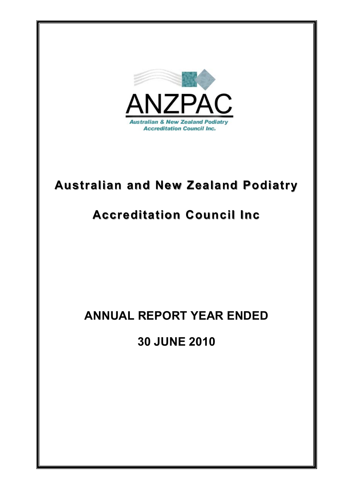

# **Australian and New Zealand Podiatry Australian and New Zealand Podiatry**

# **Accreditation Council Inc Accreditation Council Inc**

# **ANNUAL REPORT YEAR ENDED**

**30 JUNE 2010**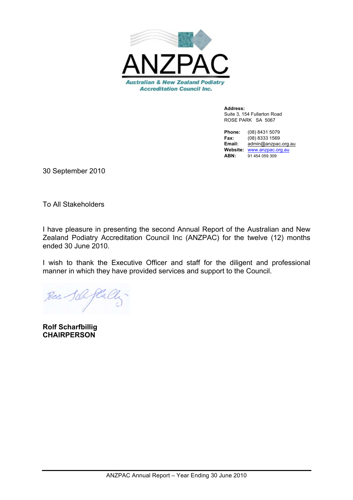

**Address:** Suite 3, 154 Fullarton Road ROSE PARK SA 5067

**Phone:** (08) 8431 5079 **Fax:** (08) 8333 1569 **Email:** admin@anzpac.org.au **Website:** www.anzpac.org.au **ABN:** 91 454 059 309

30 September 2010

To All Stakeholders

I have pleasure in presenting the second Annual Report of the Australian and New Zealand Podiatry Accreditation Council Inc (ANZPAC) for the twelve (12) months ended 30 June 2010.

I wish to thank the Executive Officer and staff for the diligent and professional manner in which they have provided services and support to the Council.

**Rolf Scharfbillig CHAIRPERSON**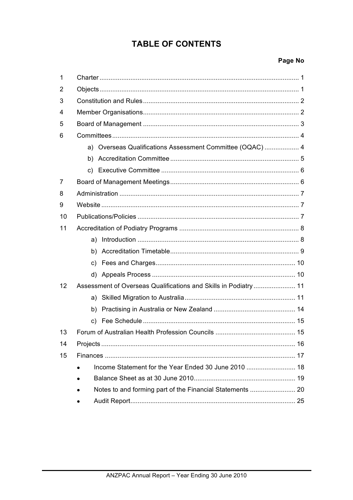# **TABLE OF CONTENTS**

# Page No

| 1  |                                                                  |  |
|----|------------------------------------------------------------------|--|
| 2  |                                                                  |  |
| 3  |                                                                  |  |
| 4  |                                                                  |  |
| 5  |                                                                  |  |
| 6  |                                                                  |  |
|    | a) Overseas Qualifications Assessment Committee (OQAC)  4        |  |
|    |                                                                  |  |
|    |                                                                  |  |
| 7  |                                                                  |  |
| 8  |                                                                  |  |
| 9  |                                                                  |  |
| 10 |                                                                  |  |
| 11 |                                                                  |  |
|    |                                                                  |  |
|    |                                                                  |  |
|    |                                                                  |  |
|    |                                                                  |  |
| 12 | Assessment of Overseas Qualifications and Skills in Podiatry  11 |  |
|    |                                                                  |  |
|    |                                                                  |  |
|    | C)                                                               |  |
| 13 |                                                                  |  |
| 14 |                                                                  |  |
| 15 |                                                                  |  |
|    |                                                                  |  |
|    |                                                                  |  |
|    |                                                                  |  |
|    |                                                                  |  |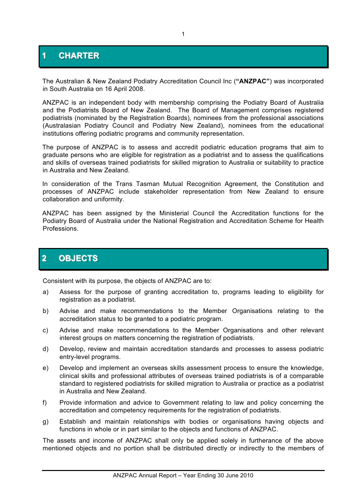# **1 CHARTER**

The Australian & New Zealand Podiatry Accreditation Council Inc (**"ANZPAC"**) was incorporated in South Australia on 16 April 2008.

ANZPAC is an independent body with membership comprising the Podiatry Board of Australia and the Podiatrists Board of New Zealand. The Board of Management comprises registered podiatrists (nominated by the Registration Boards), nominees from the professional associations (Australasian Podiatry Council and Podiatry New Zealand), nominees from the educational institutions offering podiatric programs and community representation.

The purpose of ANZPAC is to assess and accredit podiatric education programs that aim to graduate persons who are eligible for registration as a podiatrist and to assess the qualifications and skills of overseas trained podiatrists for skilled migration to Australia or suitability to practice in Australia and New Zealand.

In consideration of the Trans Tasman Mutual Recognition Agreement, the Constitution and processes of ANZPAC include stakeholder representation from New Zealand to ensure collaboration and uniformity.

ANZPAC has been assigned by the Ministerial Council the Accreditation functions for the Podiatry Board of Australia under the National Registration and Accreditation Scheme for Health Professions.

# **2 OBJECTS**

Consistent with its purpose, the objects of ANZPAC are to:

- a) Assess for the purpose of granting accreditation to, programs leading to eligibility for registration as a podiatrist.
- b) Advise and make recommendations to the Member Organisations relating to the accreditation status to be granted to a podiatric program.
- c) Advise and make recommendations to the Member Organisations and other relevant interest groups on matters concerning the registration of podiatrists.
- d) Develop, review and maintain accreditation standards and processes to assess podiatric entry-level programs.
- e) Develop and implement an overseas skills assessment process to ensure the knowledge, clinical skills and professional attributes of overseas trained podiatrists is of a comparable standard to registered podiatrists for skilled migration to Australia or practice as a podiatrist in Australia and New Zealand.
- f) Provide information and advice to Government relating to law and policy concerning the accreditation and competency requirements for the registration of podiatrists.
- g) Establish and maintain relationships with bodies or organisations having objects and functions in whole or in part similar to the objects and functions of ANZPAC.

The assets and income of ANZPAC shall only be applied solely in furtherance of the above mentioned objects and no portion shall be distributed directly or indirectly to the members of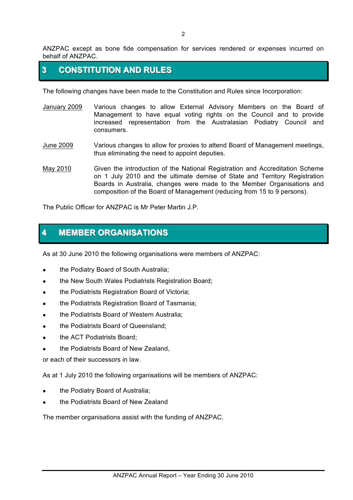ANZPAC except as bone fide compensation for services rendered or expenses incurred on behalf of ANZPAC.

# **3 CONSTITUTION AND RULES**

The following changes have been made to the Constitution and Rules since Incorporation:

- January 2009 Various changes to allow External Advisory Members on the Board of Management to have equal voting rights on the Council and to provide increased representation from the Australasian Podiatry Council and consumers.
- June 2009 Various changes to allow for proxies to attend Board of Management meetings, thus eliminating the need to appoint deputies.
- May 2010 Given the introduction of the National Registration and Accreditation Scheme on 1 July 2010 and the ultimate demise of State and Territory Registration Boards in Australia, changes were made to the Member Organisations and composition of the Board of Management (reducing from 15 to 9 persons).

The Public Officer for ANZPAC is Mr Peter Martin J.P.

# **4 MEMBER ORGANISATIONS**

As at 30 June 2010 the following organisations were members of ANZPAC:

- the Podiatry Board of South Australia;
- the New South Wales Podiatrists Registration Board;
- the Podiatrists Registration Board of Victoria;
- the Podiatrists Registration Board of Tasmania:
- the Podiatrists Board of Western Australia;
- the Podiatrists Board of Queensland;
- the ACT Podiatrists Board:
- the Podiatrists Board of New Zealand.

or each of their successors in law.

As at 1 July 2010 the following organisations will be members of ANZPAC:

- the Podiatry Board of Australia;
- ! the Podiatrists Board of New Zealand

The member organisations assist with the funding of ANZPAC.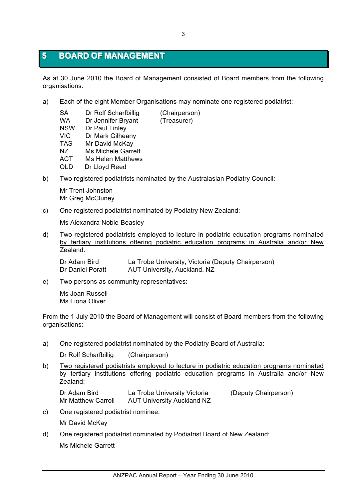# **5 BOARD OF MANAGEMENT**

As at 30 June 2010 the Board of Management consisted of Board members from the following organisations:

a) Each of the eight Member Organisations may nominate one registered podiatrist:

| SA         | Dr Rolf Scharfbillig      | (Chairperson) |
|------------|---------------------------|---------------|
| WA         | Dr Jennifer Bryant        | (Treasurer)   |
| <b>NSW</b> | Dr Paul Tinley            |               |
| VIC        | Dr Mark Gilheany          |               |
| <b>TAS</b> | Mr David McKay            |               |
| NZ.        | <b>Ms Michele Garrett</b> |               |
| ACT        | Ms Helen Matthews         |               |
| QLD        | Dr Lloyd Reed             |               |
|            |                           |               |

b) Two registered podiatrists nominated by the Australasian Podiatry Council:

Mr Trent Johnston Mr Greg McCluney

c) One registered podiatrist nominated by Podiatry New Zealand:

Ms Alexandra Noble-Beasley

d) Two registered podiatrists employed to lecture in podiatric education programs nominated by tertiary institutions offering podiatric education programs in Australia and/or New Zealand:

Dr Adam Bird La Trobe University, Victoria (Deputy Chairperson) Dr Daniel Poratt AUT University, Auckland, NZ

e) Two persons as community representatives:

Ms Joan Russell Ms Fiona Oliver

From the 1 July 2010 the Board of Management will consist of Board members from the following organisations:

a) One registered podiatrist nominated by the Podiatry Board of Australia:

Dr Rolf Scharfbillig (Chairperson)

b) Two registered podiatrists employed to lecture in podiatric education programs nominated by tertiary institutions offering podiatric education programs in Australia and/or New Zealand:

Dr Adam Bird La Trobe University Victoria (Deputy Chairperson) Mr Matthew Carroll AUT University Auckland NZ

c) One registered podiatrist nominee:

Mr David McKay

d) One registered podiatrist nominated by Podiatrist Board of New Zealand: Ms Michele Garrett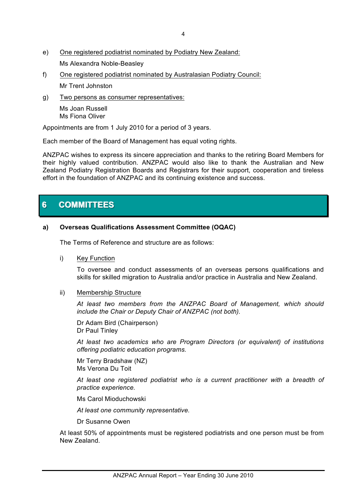- e) One registered podiatrist nominated by Podiatry New Zealand: Ms Alexandra Noble-Beasley
- f) One registered podiatrist nominated by Australasian Podiatry Council: Mr Trent Johnston
- g) Two persons as consumer representatives:

Ms Joan Russell Ms Fiona Oliver

Appointments are from 1 July 2010 for a period of 3 years.

Each member of the Board of Management has equal voting rights.

ANZPAC wishes to express its sincere appreciation and thanks to the retiring Board Members for their highly valued contribution. ANZPAC would also like to thank the Australian and New Zealand Podiatry Registration Boards and Registrars for their support, cooperation and tireless effort in the foundation of ANZPAC and its continuing existence and success.

# **6 COMMITTEES**

## **a) Overseas Qualifications Assessment Committee (OQAC)**

The Terms of Reference and structure are as follows:

i) Key Function

To oversee and conduct assessments of an overseas persons qualifications and skills for skilled migration to Australia and/or practice in Australia and New Zealand.

ii) Membership Structure

*At least two members from the ANZPAC Board of Management, which should include the Chair or Deputy Chair of ANZPAC (not both).*

Dr Adam Bird (Chairperson) Dr Paul Tinley

*At least two academics who are Program Directors (or equivalent) of institutions offering podiatric education programs.*

Mr Terry Bradshaw (NZ) Ms Verona Du Toit

*At least one registered podiatrist who is a current practitioner with a breadth of practice experience.*

Ms Carol Mioduchowski

*At least one community representative.*

Dr Susanne Owen

At least 50% of appointments must be registered podiatrists and one person must be from New Zealand.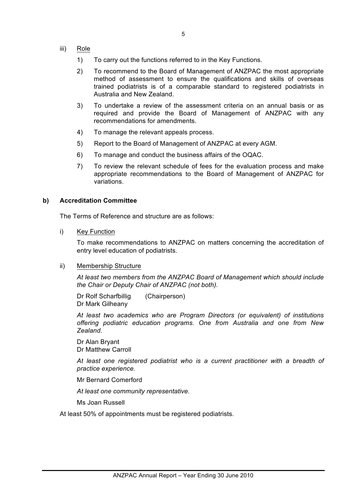- iii) Role
	- 1) To carry out the functions referred to in the Key Functions.
	- 2) To recommend to the Board of Management of ANZPAC the most appropriate method of assessment to ensure the qualifications and skills of overseas trained podiatrists is of a comparable standard to registered podiatrists in Australia and New Zealand.
	- 3) To undertake a review of the assessment criteria on an annual basis or as required and provide the Board of Management of ANZPAC with any recommendations for amendments.
	- 4) To manage the relevant appeals process.
	- 5) Report to the Board of Management of ANZPAC at every AGM.
	- 6) To manage and conduct the business affairs of the OQAC.
	- 7) To review the relevant schedule of fees for the evaluation process and make appropriate recommendations to the Board of Management of ANZPAC for variations.

#### **b) Accreditation Committee**

The Terms of Reference and structure are as follows:

i) Key Function

To make recommendations to ANZPAC on matters concerning the accreditation of entry level education of podiatrists.

#### ii) Membership Structure

*At least two members from the ANZPAC Board of Management which should include the Chair or Deputy Chair of ANZPAC (not both).*

Dr Rolf Scharfbillig (Chairperson) Dr Mark Gilheany

*At least two academics who are Program Directors (or equivalent) of institutions offering podiatric education programs. One from Australia and one from New Zealand.*

Dr Alan Bryant Dr Matthew Carroll

*At least one registered podiatrist who is a current practitioner with a breadth of practice experience.*

Mr Bernard Comerford

*At least one community representative.*

Ms Joan Russell

At least 50% of appointments must be registered podiatrists.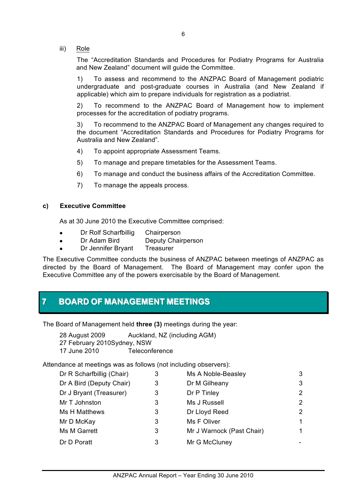iii) Role

The "Accreditation Standards and Procedures for Podiatry Programs for Australia and New Zealand" document will guide the Committee.

1) To assess and recommend to the ANZPAC Board of Management podiatric undergraduate and post-graduate courses in Australia (and New Zealand if applicable) which aim to prepare individuals for registration as a podiatrist.

2) To recommend to the ANZPAC Board of Management how to implement processes for the accreditation of podiatry programs.

3) To recommend to the ANZPAC Board of Management any changes required to the document "Accreditation Standards and Procedures for Podiatry Programs for Australia and New Zealand".

- 4) To appoint appropriate Assessment Teams.
- 5) To manage and prepare timetables for the Assessment Teams.
- 6) To manage and conduct the business affairs of the Accreditation Committee.
- 7) To manage the appeals process.

### **c) Executive Committee**

As at 30 June 2010 the Executive Committee comprised:

- Dr Rolf Scharfbillig Chairperson
- Dr Adam Bird Deputy Chairperson
- Dr Jennifer Brvant Treasurer

The Executive Committee conducts the business of ANZPAC between meetings of ANZPAC as directed by the Board of Management. The Board of Management may confer upon the Executive Committee any of the powers exercisable by the Board of Management.

# **7 BOARD OF MANAGEMENT MEETINGS**

The Board of Management held **three (3)** meetings during the year:

28 August 2009 Auckland, NZ (including AGM) 27 February 2010Sydney, NSW 17 June 2010 Teleconference

Attendance at meetings was as follows (not including observers):

| 3 | Ms A Noble-Beasley        | 3                     |
|---|---------------------------|-----------------------|
| 3 | Dr M Gilheany             | 3                     |
| 3 | Dr P Tinley               | 2                     |
| 3 | Ms J Russell              | $\mathbf{2}^{\prime}$ |
| 3 | Dr Lloyd Reed             | 2                     |
| 3 | Ms F Oliver               | 1                     |
| 3 | Mr J Warnock (Past Chair) | 1                     |
| 3 | Mr G McCluney             |                       |
|   |                           |                       |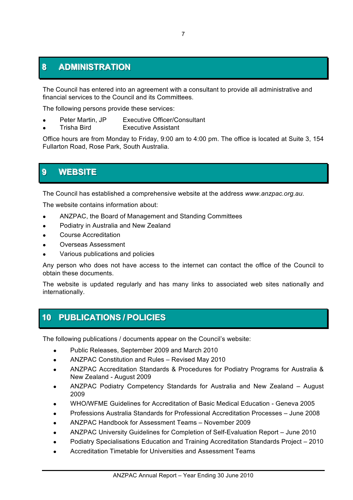# **8 ADMINISTRATION**

The Council has entered into an agreement with a consultant to provide all administrative and financial services to the Council and its Committees.

The following persons provide these services:

- Peter Martin, JP Executive Officer/Consultant
- ! Trisha Bird Executive Assistant

Office hours are from Monday to Friday, 9:00 am to 4:00 pm. The office is located at Suite 3, 154 Fullarton Road, Rose Park, South Australia.

# **9 WEBSITE**

The Council has established a comprehensive website at the address *www.anzpac.org.au*.

The website contains information about:

- ! ANZPAC, the Board of Management and Standing Committees
- ! Podiatry in Australia and New Zealand
- ! Course Accreditation
- ! Overseas Assessment
- Various publications and policies

Any person who does not have access to the internet can contact the office of the Council to obtain these documents.

The website is updated regularly and has many links to associated web sites nationally and internationally.

# **10 PUBLICATIONS / POLICIES**

The following publications / documents appear on the Council's website:

- Public Releases, September 2009 and March 2010
- ! ANZPAC Constitution and Rules Revised May 2010
- ! ANZPAC Accreditation Standards & Procedures for Podiatry Programs for Australia & New Zealand - August 2009
- ! ANZPAC Podiatry Competency Standards for Australia and New Zealand August 2009
- ! WHO/WFME Guidelines for Accreditation of Basic Medical Education Geneva 2005
- ! Professions Australia Standards for Professional Accreditation Processes June 2008
- ! ANZPAC Handbook for Assessment Teams November 2009
- ! ANZPAC University Guidelines for Completion of Self-Evaluation Report June 2010
- ! Podiatry Specialisations Education and Training Accreditation Standards Project 2010
- ! Accreditation Timetable for Universities and Assessment Teams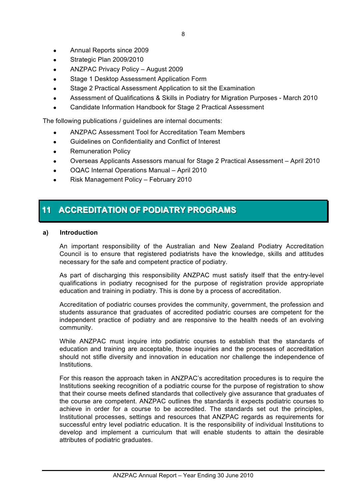- Annual Reports since 2009
- Strategic Plan 2009/2010
- ANZPAC Privacy Policy August 2009
- ! Stage 1 Desktop Assessment Application Form
- Stage 2 Practical Assessment Application to sit the Examination
- ! Assessment of Qualifications & Skills in Podiatry for Migration Purposes March 2010
- ! Candidate Information Handbook for Stage 2 Practical Assessment

The following publications / guidelines are internal documents:

- ! ANZPAC Assessment Tool for Accreditation Team Members
- ! Guidelines on Confidentiality and Conflict of Interest
- Remuneration Policy
- ! Overseas Applicants Assessors manual for Stage 2 Practical Assessment April 2010
- ! OQAC Internal Operations Manual April 2010
- ! Risk Management Policy February 2010

# **11 ACCREDITATION OF PODIATRY PROGRAMS**

### **a) Introduction**

An important responsibility of the Australian and New Zealand Podiatry Accreditation Council is to ensure that registered podiatrists have the knowledge, skills and attitudes necessary for the safe and competent practice of podiatry.

As part of discharging this responsibility ANZPAC must satisfy itself that the entry-level qualifications in podiatry recognised for the purpose of registration provide appropriate education and training in podiatry. This is done by a process of accreditation.

Accreditation of podiatric courses provides the community, government, the profession and students assurance that graduates of accredited podiatric courses are competent for the independent practice of podiatry and are responsive to the health needs of an evolving community.

While ANZPAC must inquire into podiatric courses to establish that the standards of education and training are acceptable, those inquiries and the processes of accreditation should not stifle diversity and innovation in education nor challenge the independence of Institutions.

For this reason the approach taken in ANZPAC's accreditation procedures is to require the Institutions seeking recognition of a podiatric course for the purpose of registration to show that their course meets defined standards that collectively give assurance that graduates of the course are competent. ANZPAC outlines the standards it expects podiatric courses to achieve in order for a course to be accredited. The standards set out the principles, Institutional processes, settings and resources that ANZPAC regards as requirements for successful entry level podiatric education. It is the responsibility of individual Institutions to develop and implement a curriculum that will enable students to attain the desirable attributes of podiatric graduates.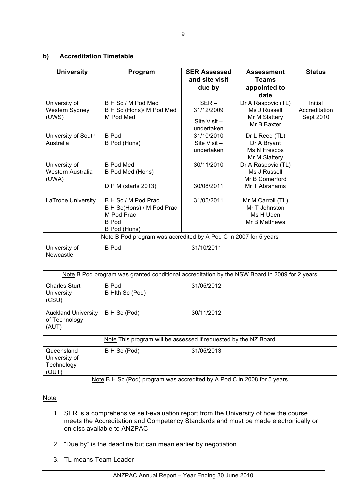### **b) Accreditation Timetable**

| <b>University</b>                                                       | Program                                                                                        | <b>SER Assessed</b><br>and site visit<br>due by    | <b>Assessment</b><br>Teams<br>appointed to<br>date                    | <b>Status</b>                         |
|-------------------------------------------------------------------------|------------------------------------------------------------------------------------------------|----------------------------------------------------|-----------------------------------------------------------------------|---------------------------------------|
| University of<br>Western Sydney<br>(UWS)                                | B H Sc / M Pod Med<br>B H Sc (Hons)/ M Pod Med<br>M Pod Med                                    | $SER -$<br>31/12/2009<br>Site Visit-<br>undertaken | Dr A Raspovic (TL)<br>Ms J Russell<br>Mr M Slattery<br>Mr B Baxter    | Initial<br>Accreditation<br>Sept 2010 |
| University of South<br>Australia                                        | <b>B</b> Pod<br>B Pod (Hons)                                                                   | 31/10/2010<br>Site Visit $-$<br>undertaken         | Dr L Reed (TL)<br>Dr A Bryant<br>Ms N Frescos<br>Mr M Slattery        |                                       |
| University of<br>Western Australia<br>(UWA)                             | <b>B Pod Med</b><br>B Pod Med (Hons)<br>D P M (starts 2013)                                    | 30/11/2010<br>30/08/2011                           | Dr A Raspovic (TL)<br>Ms J Russell<br>Mr B Comerford<br>Mr T Abrahams |                                       |
| LaTrobe University                                                      | B H Sc / M Pod Prac<br>B H Sc(Hons) / M Pod Prac<br>M Pod Prac<br><b>B</b> Pod<br>B Pod (Hons) | 31/05/2011                                         | Mr M Carroll (TL)<br>Mr T Johnston<br>Ms H Uden<br>Mr B Matthews      |                                       |
|                                                                         | Note B Pod program was accredited by A Pod C in 2007 for 5 years                               |                                                    |                                                                       |                                       |
| University of<br>Newcastle                                              | <b>B</b> Pod                                                                                   | 31/10/2011                                         |                                                                       |                                       |
|                                                                         | Note B Pod program was granted conditional accreditation by the NSW Board in 2009 for 2 years  |                                                    |                                                                       |                                       |
| <b>Charles Sturt</b><br>University<br>(CSU)                             | <b>B</b> Pod<br>B Hith Sc (Pod)                                                                | 31/05/2012                                         |                                                                       |                                       |
| <b>Auckland University</b><br>of Technology<br>(AUT)                    | B H Sc (Pod)                                                                                   | 30/11/2012                                         |                                                                       |                                       |
| Note This program will be assessed if requested by the NZ Board         |                                                                                                |                                                    |                                                                       |                                       |
| Queensland<br>University of<br>Technology<br>(QUT)                      | B H Sc (Pod)                                                                                   | 31/05/2013                                         |                                                                       |                                       |
| Note B H Sc (Pod) program was accredited by A Pod C in 2008 for 5 years |                                                                                                |                                                    |                                                                       |                                       |

### **Note**

- 1. SER is a comprehensive self-evaluation report from the University of how the course meets the Accreditation and Competency Standards and must be made electronically or on disc available to ANZPAC
- 2. "Due by" is the deadline but can mean earlier by negotiation.
- 3. TL means Team Leader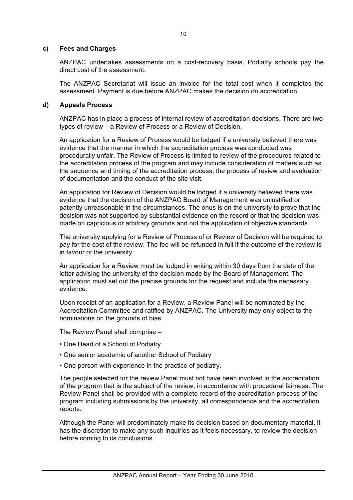#### **c) Fees and Charges**

ANZPAC undertakes assessments on a cost-recovery basis. Podiatry schools pay the direct cost of the assessment.

The ANZPAC Secretariat will issue an invoice for the total cost when it completes the assessment. Payment is due before ANZPAC makes the decision on accreditation.

### **d) Appeals Process**

ANZPAC has in place a process of internal review of accreditation decisions. There are two types of review – a Review of Process or a Review of Decision.

An application for a Review of Process would be lodged if a university believed there was evidence that the manner in which the accreditation process was conducted was procedurally unfair. The Review of Process is limited to review of the procedures related to the accreditation process of the program and may include consideration of matters such as the sequence and timing of the accreditation process, the process of review and evaluation of documentation and the conduct of the site visit.

An application for Review of Decision would be lodged if a university believed there was evidence that the decision of the ANZPAC Board of Management was unjustified or patently unreasonable in the circumstances. The onus is on the university to prove that the decision was not supported by substantial evidence on the record or that the decision was made on capricious or arbitrary grounds and not the application of objective standards.

The university applying for a Review of Process of or Review of Decision will be required to pay for the cost of the review. The fee will be refunded in full if the outcome of the review is in favour of the university.

An application for a Review must be lodged in writing within 30 days from the date of the letter advising the university of the decision made by the Board of Management. The application must set out the precise grounds for the request and include the necessary evidence.

Upon receipt of an application for a Review, a Review Panel will be nominated by the Accreditation Committee and ratified by ANZPAC. The University may only object to the nominations on the grounds of bias.

The Review Panel shall comprise –

- One Head of a School of Podiatry
- One senior academic of another School of Podiatry
- One person with experience in the practice of podiatry.

The people selected for the review Panel must not have been involved in the accreditation of the program that is the subject of the review, in accordance with procedural fairness. The Review Panel shall be provided with a complete record of the accreditation process of the program including submissions by the university, all correspondence and the accreditation reports.

Although the Panel will predominately make its decision based on documentary material, it has the discretion to make any such inquiries as it feels necessary, to review the decision before coming to its conclusions.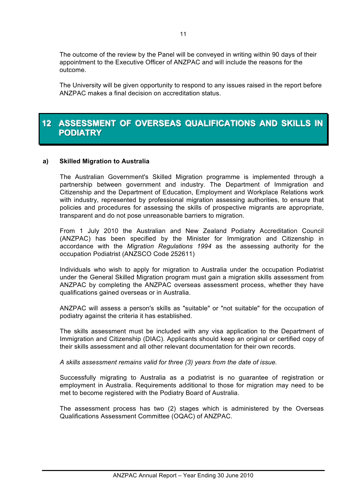The outcome of the review by the Panel will be conveyed in writing within 90 days of their appointment to the Executive Officer of ANZPAC and will include the reasons for the outcome.

The University will be given opportunity to respond to any issues raised in the report before ANZPAC makes a final decision on accreditation status.

# **12 ASSESSMENT OF OVERSEAS QUALIFICATIONS AND SKILLS IN PODIATRY**

### **a) Skilled Migration to Australia**

The Australian Government's Skilled Migration programme is implemented through a partnership between government and industry. The Department of Immigration and Citizenship and the Department of Education, Employment and Workplace Relations work with industry, represented by professional migration assessing authorities, to ensure that policies and procedures for assessing the skills of prospective migrants are appropriate, transparent and do not pose unreasonable barriers to migration.

From 1 July 2010 the Australian and New Zealand Podiatry Accreditation Council (ANZPAC) has been specified by the Minister for Immigration and Citizenship in accordance with the *Migration Regulations 1994* as the assessing authority for the occupation Podiatrist (ANZSCO Code 252611)

Individuals who wish to apply for migration to Australia under the occupation Podiatrist under the General Skilled Migration program must gain a migration skills assessment from ANZPAC by completing the ANZPAC overseas assessment process, whether they have qualifications gained overseas or in Australia.

ANZPAC will assess a person's skills as "suitable" or "not suitable" for the occupation of podiatry against the criteria it has established.

The skills assessment must be included with any visa application to the Department of Immigration and Citizenship (DIAC). Applicants should keep an original or certified copy of their skills assessment and all other relevant documentation for their own records.

*A skills assessment remains valid for three (3) years from the date of issue.*

Successfully migrating to Australia as a podiatrist is no guarantee of registration or employment in Australia. Requirements additional to those for migration may need to be met to become registered with the Podiatry Board of Australia.

The assessment process has two (2) stages which is administered by the Overseas Qualifications Assessment Committee (OQAC) of ANZPAC.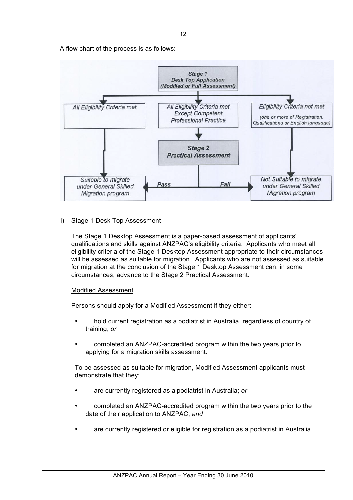12

A flow chart of the process is as follows:



### i) Stage 1 Desk Top Assessment

The Stage 1 Desktop Assessment is a paper-based assessment of applicants' qualifications and skills against ANZPAC's eligibility criteria. Applicants who meet all eligibility criteria of the Stage 1 Desktop Assessment appropriate to their circumstances will be assessed as suitable for migration. Applicants who are not assessed as suitable for migration at the conclusion of the Stage 1 Desktop Assessment can, in some circumstances, advance to the Stage 2 Practical Assessment.

### Modified Assessment

Persons should apply for a Modified Assessment if they either:

- hold current registration as a podiatrist in Australia, regardless of country of training; *or*
- completed an ANZPAC-accredited program within the two years prior to applying for a migration skills assessment.

To be assessed as suitable for migration, Modified Assessment applicants must demonstrate that they:

- are currently registered as a podiatrist in Australia; *or*
- completed an ANZPAC-accredited program within the two years prior to the date of their application to ANZPAC; *and*
- are currently registered or eligible for registration as a podiatrist in Australia.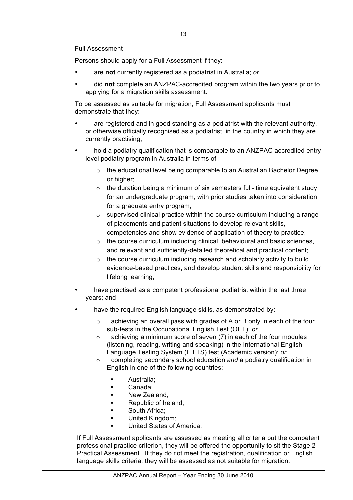### Full Assessment

Persons should apply for a Full Assessment if they:

- are **not** currently registered as a podiatrist in Australia; *or*
- did **not** complete an ANZPAC-accredited program within the two years prior to applying for a migration skills assessment.

To be assessed as suitable for migration, Full Assessment applicants must demonstrate that they:

- are registered and in good standing as a podiatrist with the relevant authority, or otherwise officially recognised as a podiatrist, in the country in which they are currently practising;
- hold a podiatry qualification that is comparable to an ANZPAC accredited entry level podiatry program in Australia in terms of :
	- o the educational level being comparable to an Australian Bachelor Degree or higher:
	- $\circ$  the duration being a minimum of six semesters full- time equivalent study for an undergraduate program, with prior studies taken into consideration for a graduate entry program;
	- $\circ$  supervised clinical practice within the course curriculum including a range of placements and patient situations to develop relevant skills, competencies and show evidence of application of theory to practice;
	- $\circ$  the course curriculum including clinical, behavioural and basic sciences, and relevant and sufficiently-detailed theoretical and practical content;
	- $\circ$  the course curriculum including research and scholarly activity to build evidence-based practices, and develop student skills and responsibility for lifelong learning;
- have practised as a competent professional podiatrist within the last three years; and
- have the required English language skills, as demonstrated by:
	- o achieving an overall pass with grades of A or B only in each of the four sub-tests in the Occupational English Test (OET); *or*
	- $\circ$  achieving a minimum score of seven (7) in each of the four modules (listening, reading, writing and speaking) in the International English Language Testing System (IELTS) test (Academic version); *or*
	- o completing secondary school education *and* a podiatry qualification in English in one of the following countries:
		- " Australia;
		- Canada:
		- **New Zealand:**
		- **EXECUTE:** Republic of Ireland;
		- **South Africa;**
		- **United Kingdom:**
		- United States of America.

If Full Assessment applicants are assessed as meeting all criteria but the competent professional practice criterion, they will be offered the opportunity to sit the Stage 2 Practical Assessment. If they do not meet the registration, qualification or English language skills criteria, they will be assessed as not suitable for migration.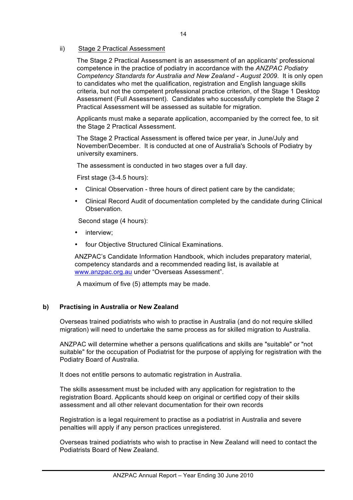### ii) Stage 2 Practical Assessment

The Stage 2 Practical Assessment is an assessment of an applicants' professional competence in the practice of podiatry in accordance with the *ANZPAC Podiatry Competency Standards for Australia and New Zealand - August 2009*. It is only open to candidates who met the qualification, registration and English language skills criteria, but not the competent professional practice criterion, of the Stage 1 Desktop Assessment (Full Assessment). Candidates who successfully complete the Stage 2 Practical Assessment will be assessed as suitable for migration.

Applicants must make a separate application, accompanied by the correct fee, to sit the Stage 2 Practical Assessment.

The Stage 2 Practical Assessment is offered twice per year, in June/July and November/December. It is conducted at one of Australia's Schools of Podiatry by university examiners.

The assessment is conducted in two stages over a full day.

First stage (3-4.5 hours):

- Clinical Observation three hours of direct patient care by the candidate;
- Clinical Record Audit of documentation completed by the candidate during Clinical Observation.

Second stage (4 hours):

- interview;
- four Objective Structured Clinical Examinations.

ANZPAC's Candidate Information Handbook, which includes preparatory material, competency standards and a recommended reading list, is available at www.anzpac.org.au under "Overseas Assessment".

A maximum of five (5) attempts may be made.

### **b) Practising in Australia or New Zealand**

Overseas trained podiatrists who wish to practise in Australia (and do not require skilled migration) will need to undertake the same process as for skilled migration to Australia.

ANZPAC will determine whether a persons qualifications and skills are "suitable" or "not suitable" for the occupation of Podiatrist for the purpose of applying for registration with the Podiatry Board of Australia.

It does not entitle persons to automatic registration in Australia.

The skills assessment must be included with any application for registration to the registration Board. Applicants should keep on original or certified copy of their skills assessment and all other relevant documentation for their own records

Registration is a legal requirement to practise as a podiatrist in Australia and severe penalties will apply if any person practices unregistered.

Overseas trained podiatrists who wish to practise in New Zealand will need to contact the Podiatrists Board of New Zealand.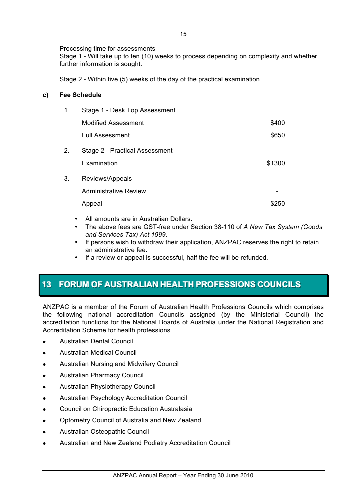## Processing time for assessments

Stage 1 - Will take up to ten (10) weeks to process depending on complexity and whether further information is sought.

Stage 2 - Within five (5) weeks of the day of the practical examination.

## **c) Fee Schedule**

| 1. | Stage 1 - Desk Top Assessment  |        |
|----|--------------------------------|--------|
|    | <b>Modified Assessment</b>     | \$400  |
|    | Full Assessment                | \$650  |
| 2. | Stage 2 - Practical Assessment |        |
|    | Examination                    | \$1300 |
| 3. | Reviews/Appeals                |        |
|    | <b>Administrative Review</b>   |        |
|    | Appeal                         | \$250  |
|    |                                |        |

- All amounts are in Australian Dollars.
- The above fees are GST-free under Section 38-110 of *A New Tax System (Goods and Services Tax) Act 1999*.
- If persons wish to withdraw their application, ANZPAC reserves the right to retain an administrative fee.
- If a review or appeal is successful, half the fee will be refunded.

# **13 FORUM OF AUSTRALIAN HEALTH PROFESSIONS COUNCILS**

ANZPAC is a member of the Forum of Australian Health Professions Councils which comprises the following national accreditation Councils assigned (by the Ministerial Council) the accreditation functions for the National Boards of Australia under the National Registration and Accreditation Scheme for health professions.

- ! Australian Dental Council
- ! Australian Medical Council
- **.** Australian Nursing and Midwifery Council
- **.** Australian Pharmacy Council
- ! Australian Physiotherapy Council
- Australian Psychology Accreditation Council
- **.** Council on Chiropractic Education Australasia
- ! Optometry Council of Australia and New Zealand
- ! Australian Osteopathic Council
- ! Australian and New Zealand Podiatry Accreditation Council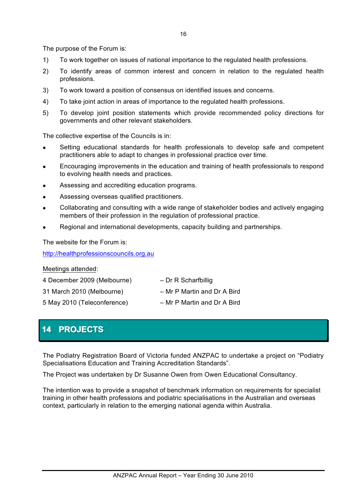The purpose of the Forum is:

- 1) To work together on issues of national importance to the regulated health professions.
- 2) To identify areas of common interest and concern in relation to the regulated health professions.
- 3) To work toward a position of consensus on identified issues and concerns.
- 4) To take joint action in areas of importance to the regulated health professions.
- 5) To develop joint position statements which provide recommended policy directions for governments and other relevant stakeholders.

The collective expertise of the Councils is in:

- Setting educational standards for health professionals to develop safe and competent practitioners able to adapt to changes in professional practice over time.
- ! Encouraging improvements in the education and training of health professionals to respond to evolving health needs and practices.
- ! Assessing and accrediting education programs.
- ! Assessing overseas qualified practitioners.
- ! Collaborating and consulting with a wide range of stakeholder bodies and actively engaging members of their profession in the regulation of professional practice.
- Regional and international developments, capacity building and partnerships.

The website for the Forum is:

http://healthprofessionscouncils.org.au

#### Meetings attended:

4 December 2009 (Melbourne) – Dr R Scharfbillig

5 May 2010 (Teleconference) – Mr P Martin and Dr A Bird

- 
- 31 March 2010 (Melbourne) Mr P Martin and Dr A Bird
	-

# **14 PROJECTS**

The Podiatry Registration Board of Victoria funded ANZPAC to undertake a project on "Podiatry Specialisations Education and Training Accreditation Standards".

The Project was undertaken by Dr Susanne Owen from Owen Educational Consultancy.

The intention was to provide a snapshot of benchmark information on requirements for specialist training in other health professions and podiatric specialisations in the Australian and overseas context, particularly in relation to the emerging national agenda within Australia.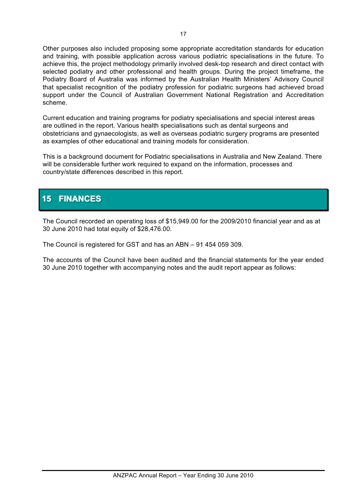Other purposes also included proposing some appropriate accreditation standards for education and training, with possible application across various podiatric specialisations in the future. To achieve this, the project methodology primarily involved desk-top research and direct contact with selected podiatry and other professional and health groups. During the project timeframe, the Podiatry Board of Australia was informed by the Australian Health Ministers' Advisory Council that specialist recognition of the podiatry profession for podiatric surgeons had achieved broad support under the Council of Australian Government National Registration and Accreditation scheme.

Current education and training programs for podiatry specialisations and special interest areas are outlined in the report. Various health specialisations such as dental surgeons and obstetricians and gynaecologists, as well as overseas podiatric surgery programs are presented as examples of other educational and training models for consideration.

This is a background document for Podiatric specialisations in Australia and New Zealand. There will be considerable further work required to expand on the information, processes and country/state differences described in this report.

# **15 FINANCES**

The Council recorded an operating loss of \$15,949.00 for the 2009/2010 financial year and as at 30 June 2010 had total equity of \$28,476.00.

The Council is registered for GST and has an ABN – 91 454 059 309.

The accounts of the Council have been audited and the financial statements for the year ended 30 June 2010 together with accompanying notes and the audit report appear as follows: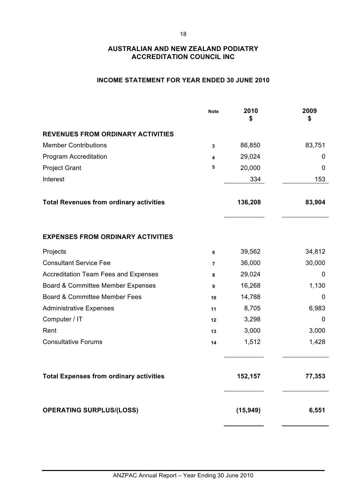### **INCOME STATEMENT FOR YEAR ENDED 30 JUNE 2010**

|                                                | <b>Note</b> | 2010<br>\$ | 2009<br>\$ |
|------------------------------------------------|-------------|------------|------------|
| <b>REVENUES FROM ORDINARY ACTIVITIES</b>       |             |            |            |
| <b>Member Contributions</b>                    | 3           | 86,850     | 83,751     |
| Program Accreditation                          | 4           | 29,024     | 0          |
| <b>Project Grant</b>                           | 5           | 20,000     | 0          |
| Interest                                       |             | 334        | 153        |
| <b>Total Revenues from ordinary activities</b> |             | 136,208    | 83,904     |
| <b>EXPENSES FROM ORDINARY ACTIVITIES</b>       |             |            |            |
| Projects                                       | 6           | 39,562     | 34,812     |
| <b>Consultant Service Fee</b>                  | 7           | 36,000     | 30,000     |
| <b>Accreditation Team Fees and Expenses</b>    | 8           | 29,024     | 0          |
| Board & Committee Member Expenses              | 9           | 16,268     | 1,130      |
| Board & Committee Member Fees                  | 10          | 14,788     | 0          |
| <b>Administrative Expenses</b>                 | 11          | 8,705      | 6,983      |
| Computer / IT                                  | 12          | 3,298      | 0          |
| Rent                                           | 13          | 3,000      | 3,000      |
| <b>Consultative Forums</b>                     | 14          | 1,512      | 1,428      |
| <b>Total Expenses from ordinary activities</b> |             | 152,157    | 77,353     |
| <b>OPERATING SURPLUS/(LOSS)</b>                |             | (15, 949)  | 6,551      |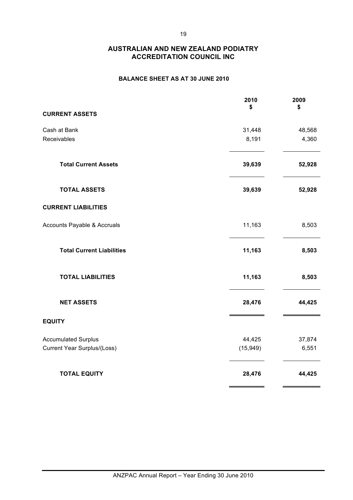### **BALANCE SHEET AS AT 30 JUNE 2010**

|                                    | 2010<br>\$ | 2009<br>\$ |
|------------------------------------|------------|------------|
| <b>CURRENT ASSETS</b>              |            |            |
| Cash at Bank                       | 31,448     | 48,568     |
| Receivables                        | 8,191      | 4,360      |
| <b>Total Current Assets</b>        | 39,639     | 52,928     |
| <b>TOTAL ASSETS</b>                | 39,639     | 52,928     |
| <b>CURRENT LIABILITIES</b>         |            |            |
| Accounts Payable & Accruals        | 11,163     | 8,503      |
| <b>Total Current Liabilities</b>   | 11,163     | 8,503      |
| <b>TOTAL LIABILITIES</b>           | 11,163     | 8,503      |
| <b>NET ASSETS</b>                  | 28,476     | 44,425     |
| <b>EQUITY</b>                      |            |            |
| <b>Accumulated Surplus</b>         | 44,425     | 37,874     |
| <b>Current Year Surplus/(Loss)</b> | (15, 949)  | 6,551      |
| <b>TOTAL EQUITY</b>                | 28,476     | 44,425     |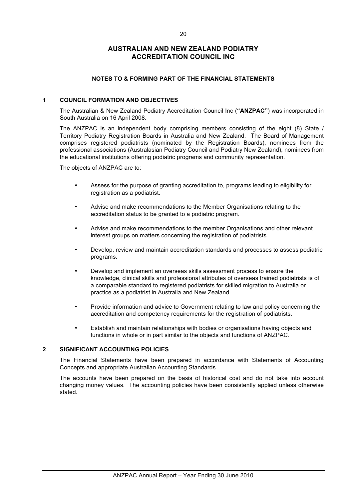#### **NOTES TO & FORMING PART OF THE FINANCIAL STATEMENTS**

#### **1 COUNCIL FORMATION AND OBJECTIVES**

The Australian & New Zealand Podiatry Accreditation Council Inc (**"ANZPAC"**) was incorporated in South Australia on 16 April 2008.

The ANZPAC is an independent body comprising members consisting of the eight (8) State / Territory Podiatry Registration Boards in Australia and New Zealand. The Board of Management comprises registered podiatrists (nominated by the Registration Boards), nominees from the professional associations (Australasian Podiatry Council and Podiatry New Zealand), nominees from the educational institutions offering podiatric programs and community representation.

The objects of ANZPAC are to:

- Assess for the purpose of granting accreditation to, programs leading to eligibility for registration as a podiatrist.
- Advise and make recommendations to the Member Organisations relating to the accreditation status to be granted to a podiatric program.
- Advise and make recommendations to the member Organisations and other relevant interest groups on matters concerning the registration of podiatrists.
- Develop, review and maintain accreditation standards and processes to assess podiatric programs.
- Develop and implement an overseas skills assessment process to ensure the knowledge, clinical skills and professional attributes of overseas trained podiatrists is of a comparable standard to registered podiatrists for skilled migration to Australia or practice as a podiatrist in Australia and New Zealand.
- Provide information and advice to Government relating to law and policy concerning the accreditation and competency requirements for the registration of podiatrists.
- Establish and maintain relationships with bodies or organisations having objects and functions in whole or in part similar to the objects and functions of ANZPAC.

#### **2 SIGNIFICANT ACCOUNTING POLICIES**

The Financial Statements have been prepared in accordance with Statements of Accounting Concepts and appropriate Australian Accounting Standards.

The accounts have been prepared on the basis of historical cost and do not take into account changing money values. The accounting policies have been consistently applied unless otherwise stated.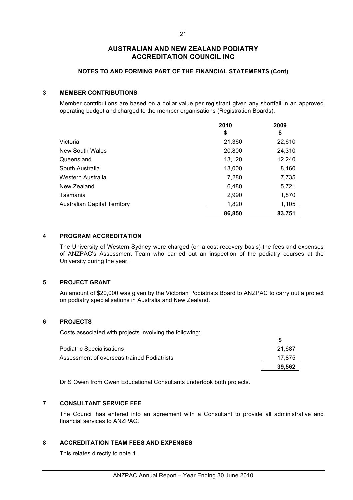#### **NOTES TO AND FORMING PART OF THE FINANCIAL STATEMENTS (Cont)**

#### **3 MEMBER CONTRIBUTIONS**

Member contributions are based on a dollar value per registrant given any shortfall in an approved operating budget and charged to the member organisations (Registration Boards).

|                                     | 2010   | 2009   |
|-------------------------------------|--------|--------|
|                                     | \$     | \$     |
| Victoria                            | 21,360 | 22,610 |
| <b>New South Wales</b>              | 20,800 | 24,310 |
| Queensland                          | 13,120 | 12,240 |
| South Australia                     | 13,000 | 8,160  |
| Western Australia                   | 7,280  | 7,735  |
| New Zealand                         | 6,480  | 5,721  |
| Tasmania                            | 2,990  | 1,870  |
| <b>Australian Capital Territory</b> | 1,820  | 1,105  |
|                                     | 86,850 | 83,751 |

#### **4 PROGRAM ACCREDITATION**

The University of Western Sydney were charged (on a cost recovery basis) the fees and expenses of ANZPAC's Assessment Team who carried out an inspection of the podiatry courses at the University during the year.

#### **5 PROJECT GRANT**

An amount of \$20,000 was given by the Victorian Podiatrists Board to ANZPAC to carry out a project on podiatry specialisations in Australia and New Zealand.

#### **6 PROJECTS**

Costs associated with projects involving the following:

|                                            | 39.562 |
|--------------------------------------------|--------|
| Assessment of overseas trained Podiatrists | 17.875 |
| <b>Podiatric Specialisations</b>           | 21.687 |
|                                            |        |

Dr S Owen from Owen Educational Consultants undertook both projects.

#### **7 CONSULTANT SERVICE FEE**

The Council has entered into an agreement with a Consultant to provide all administrative and financial services to ANZPAC.

#### **8 ACCREDITATION TEAM FEES AND EXPENSES**

This relates directly to note 4.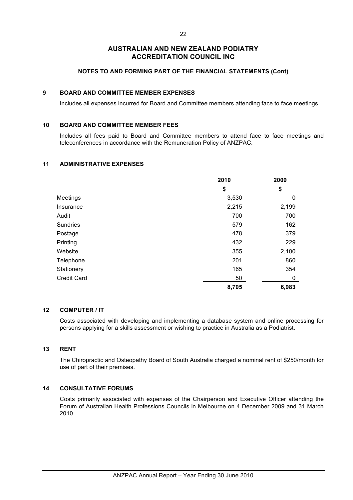#### **NOTES TO AND FORMING PART OF THE FINANCIAL STATEMENTS (Cont)**

#### **9 BOARD AND COMMITTEE MEMBER EXPENSES**

Includes all expenses incurred for Board and Committee members attending face to face meetings.

#### **10 BOARD AND COMMITTEE MEMBER FEES**

Includes all fees paid to Board and Committee members to attend face to face meetings and teleconferences in accordance with the Remuneration Policy of ANZPAC.

#### **11 ADMINISTRATIVE EXPENSES**

|                    | 2010  | 2009  |
|--------------------|-------|-------|
|                    | \$    | \$    |
| Meetings           | 3,530 | 0     |
| Insurance          | 2,215 | 2,199 |
| Audit              | 700   | 700   |
| Sundries           | 579   | 162   |
| Postage            | 478   | 379   |
| Printing           | 432   | 229   |
| Website            | 355   | 2,100 |
| Telephone          | 201   | 860   |
| Stationery         | 165   | 354   |
| <b>Credit Card</b> | 50    | 0     |
|                    | 8,705 | 6,983 |

#### **12 COMPUTER / IT**

Costs associated with developing and implementing a database system and online processing for persons applying for a skills assessment or wishing to practice in Australia as a Podiatrist.

#### **13 RENT**

The Chiropractic and Osteopathy Board of South Australia charged a nominal rent of \$250/month for use of part of their premises.

#### **14 CONSULTATIVE FORUMS**

Costs primarily associated with expenses of the Chairperson and Executive Officer attending the Forum of Australian Health Professions Councils in Melbourne on 4 December 2009 and 31 March 2010.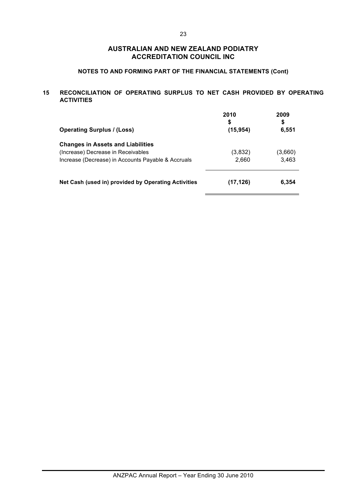### **NOTES TO AND FORMING PART OF THE FINANCIAL STATEMENTS (Cont)**

#### **15 RECONCILIATION OF OPERATING SURPLUS TO NET CASH PROVIDED BY OPERATING ACTIVITIES**

| <b>Operating Surplus / (Loss)</b>                   | 2010<br>\$<br>(15, 954) | 2009<br>\$<br>6,551 |
|-----------------------------------------------------|-------------------------|---------------------|
| <b>Changes in Assets and Liabilities</b>            |                         |                     |
| (Increase) Decrease in Receivables                  | (3,832)                 | (3,660)             |
| Increase (Decrease) in Accounts Payable & Accruals  | 2.660                   | 3,463               |
| Net Cash (used in) provided by Operating Activities | (17, 126)               | 6,354               |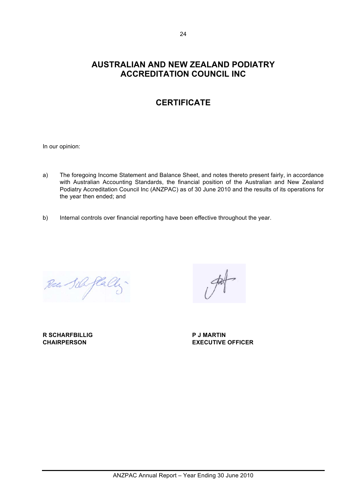# **CERTIFICATE**

In our opinion:

- a) The foregoing Income Statement and Balance Sheet, and notes thereto present fairly, in accordance with Australian Accounting Standards, the financial position of the Australian and New Zealand Podiatry Accreditation Council Inc (ANZPAC) as of 30 June 2010 and the results of its operations for the year then ended; and
- b) Internal controls over financial reporting have been effective throughout the year.

Race Sile flally

**R SCHARFBILLIG P J MARTIN**

**CHAIRPERSON EXECUTIVE OFFICER**